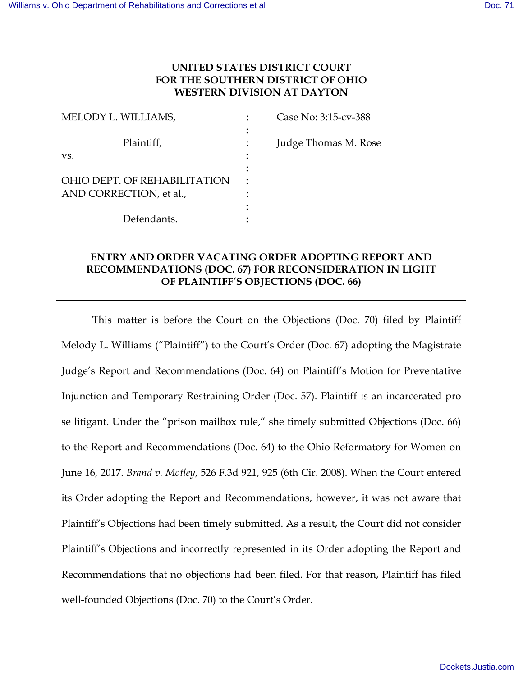## **UNITED STATES DISTRICT COURT FOR THE SOUTHERN DISTRICT OF OHIO WESTERN DIVISION AT DAYTON**

| MELODY L. WILLIAMS,          | Case No: 3:15-cv-388 |
|------------------------------|----------------------|
| Plaintiff,                   | Judge Thomas M. Rose |
| VS.                          |                      |
|                              |                      |
| OHIO DEPT. OF REHABILITATION |                      |
| AND CORRECTION, et al.,      |                      |
|                              |                      |
| Defendants.                  |                      |

## **ENTRY AND ORDER VACATING ORDER ADOPTING REPORT AND RECOMMENDATIONS (DOC. 67) FOR RECONSIDERATION IN LIGHT OF PLAINTIFF'S OBJECTIONS (DOC. 66)**

This matter is before the Court on the Objections (Doc. 70) filed by Plaintiff Melody L. Williams ("Plaintiff") to the Court's Order (Doc. 67) adopting the Magistrate Judge's Report and Recommendations (Doc. 64) on Plaintiff's Motion for Preventative Injunction and Temporary Restraining Order (Doc. 57). Plaintiff is an incarcerated pro se litigant. Under the "prison mailbox rule," she timely submitted Objections (Doc. 66) to the Report and Recommendations (Doc. 64) to the Ohio Reformatory for Women on June 16, 2017. *Brand v. Motley*, 526 F.3d 921, 925 (6th Cir. 2008). When the Court entered its Order adopting the Report and Recommendations, however, it was not aware that Plaintiff's Objections had been timely submitted. As a result, the Court did not consider Plaintiff's Objections and incorrectly represented in its Order adopting the Report and Recommendations that no objections had been filed. For that reason, Plaintiff has filed well-founded Objections (Doc. 70) to the Court's Order.